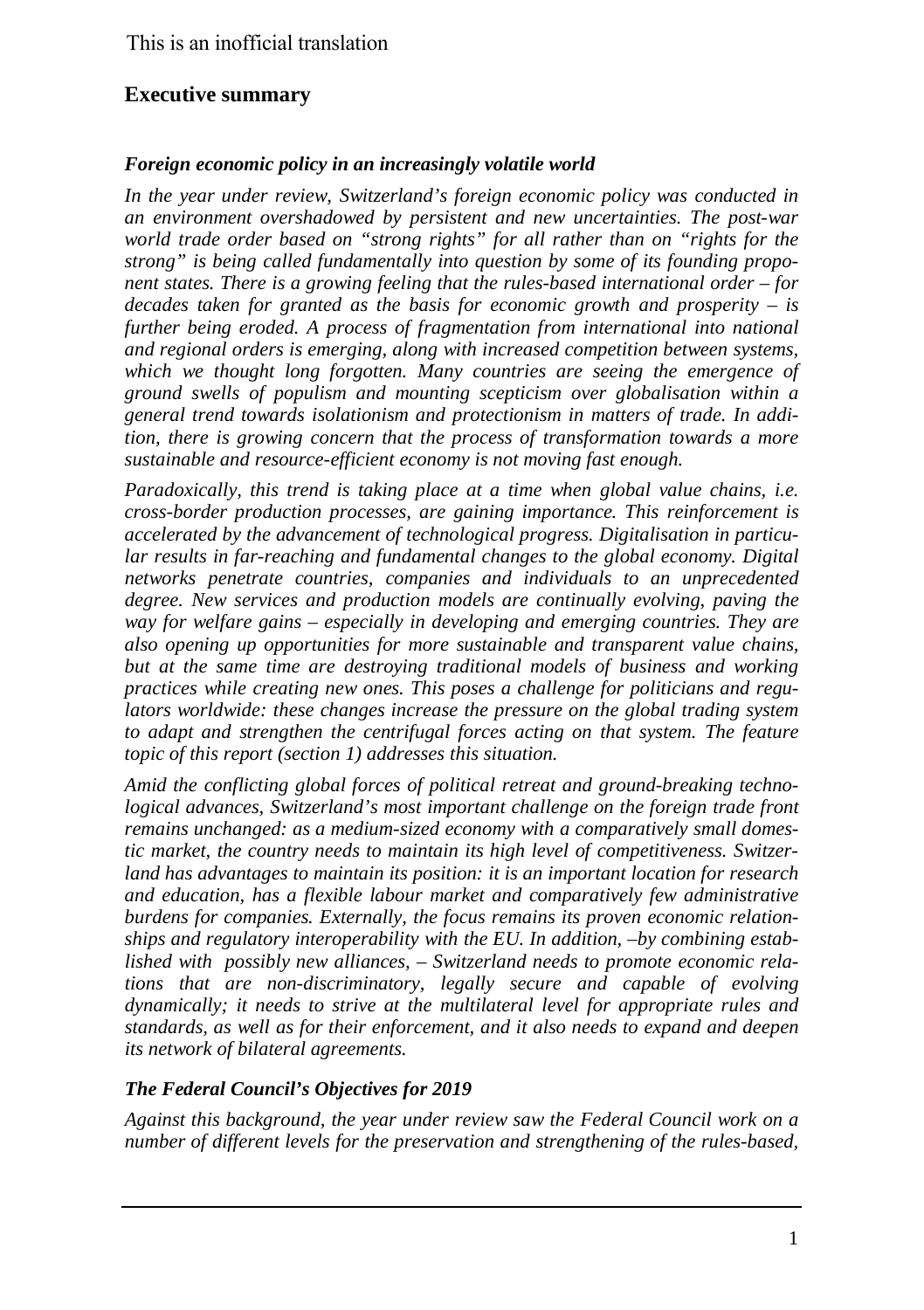# **Executive summary**

# *Foreign economic policy in an increasingly volatile world*

*In the year under review, Switzerland's foreign economic policy was conducted in an environment overshadowed by persistent and new uncertainties. The post-war world trade order based on "strong rights" for all rather than on "rights for the strong" is being called fundamentally into question by some of its founding proponent states. There is a growing feeling that the rules-based international order – for decades taken for granted as the basis for economic growth and prosperity – is further being eroded. A process of fragmentation from international into national and regional orders is emerging, along with increased competition between systems, which we thought long forgotten. Many countries are seeing the emergence of ground swells of populism and mounting scepticism over globalisation within a general trend towards isolationism and protectionism in matters of trade. In addition, there is growing concern that the process of transformation towards a more sustainable and resource-efficient economy is not moving fast enough.*

*Paradoxically, this trend is taking place at a time when global value chains, i.e. cross-border production processes, are gaining importance. This reinforcement is accelerated by the advancement of technological progress. Digitalisation in particular results in far-reaching and fundamental changes to the global economy. Digital networks penetrate countries, companies and individuals to an unprecedented degree. New services and production models are continually evolving, paving the way for welfare gains – especially in developing and emerging countries. They are also opening up opportunities for more sustainable and transparent value chains, but at the same time are destroying traditional models of business and working practices while creating new ones. This poses a challenge for politicians and regulators worldwide: these changes increase the pressure on the global trading system to adapt and strengthen the centrifugal forces acting on that system. The feature topic of this report (section 1) addresses this situation.* 

*Amid the conflicting global forces of political retreat and ground-breaking technological advances, Switzerland's most important challenge on the foreign trade front remains unchanged: as a medium-sized economy with a comparatively small domestic market, the country needs to maintain its high level of competitiveness. Switzerland has advantages to maintain its position: it is an important location for research and education, has a flexible labour market and comparatively few administrative burdens for companies. Externally, the focus remains its proven economic relationships and regulatory interoperability with the EU. In addition, –by combining established with possibly new alliances, – Switzerland needs to promote economic relations that are non-discriminatory, legally secure and capable of evolving dynamically; it needs to strive at the multilateral level for appropriate rules and standards, as well as for their enforcement, and it also needs to expand and deepen its network of bilateral agreements.*

# *The Federal Council's Objectives for 2019*

*Against this background, the year under review saw the Federal Council work on a number of different levels for the preservation and strengthening of the rules-based,*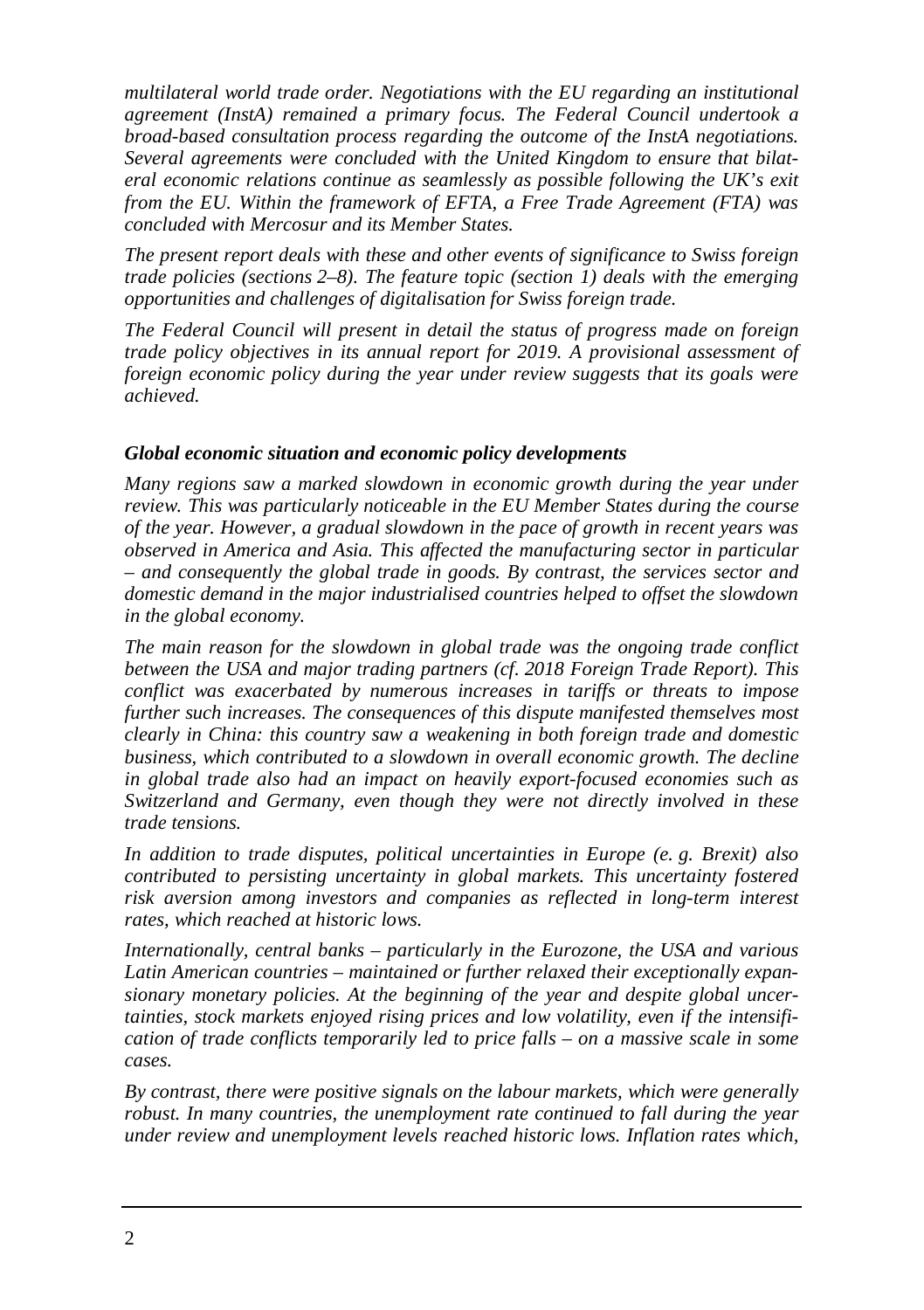*multilateral world trade order. Negotiations with the EU regarding an institutional agreement (InstA) remained a primary focus. The Federal Council undertook a broad-based consultation process regarding the outcome of the InstA negotiations. Several agreements were concluded with the United Kingdom to ensure that bilateral economic relations continue as seamlessly as possible following the UK's exit from the EU. Within the framework of EFTA, a Free Trade Agreement (FTA) was concluded with Mercosur and its Member States.*

*The present report deals with these and other events of significance to Swiss foreign trade policies (sections 2–8). The feature topic (section 1) deals with the emerging opportunities and challenges of digitalisation for Swiss foreign trade.*

*The Federal Council will present in detail the status of progress made on foreign trade policy objectives in its annual report for 2019. A provisional assessment of foreign economic policy during the year under review suggests that its goals were achieved.*

#### *Global economic situation and economic policy developments*

*Many regions saw a marked slowdown in economic growth during the year under review. This was particularly noticeable in the EU Member States during the course of the year. However, a gradual slowdown in the pace of growth in recent years was observed in America and Asia. This affected the manufacturing sector in particular – and consequently the global trade in goods. By contrast, the services sector and domestic demand in the major industrialised countries helped to offset the slowdown in the global economy.*

*The main reason for the slowdown in global trade was the ongoing trade conflict between the USA and major trading partners (cf. 2018 Foreign Trade Report). This conflict was exacerbated by numerous increases in tariffs or threats to impose further such increases. The consequences of this dispute manifested themselves most clearly in China: this country saw a weakening in both foreign trade and domestic business, which contributed to a slowdown in overall economic growth. The decline in global trade also had an impact on heavily export-focused economies such as Switzerland and Germany, even though they were not directly involved in these trade tensions.*

*In addition to trade disputes, political uncertainties in Europe (e. g. Brexit) also contributed to persisting uncertainty in global markets. This uncertainty fostered risk aversion among investors and companies as reflected in long-term interest rates, which reached at historic lows.*

*Internationally, central banks – particularly in the Eurozone, the USA and various Latin American countries – maintained or further relaxed their exceptionally expansionary monetary policies. At the beginning of the year and despite global uncertainties, stock markets enjoyed rising prices and low volatility, even if the intensification of trade conflicts temporarily led to price falls – on a massive scale in some cases.* 

*By contrast, there were positive signals on the labour markets, which were generally robust. In many countries, the unemployment rate continued to fall during the year under review and unemployment levels reached historic lows. Inflation rates which,*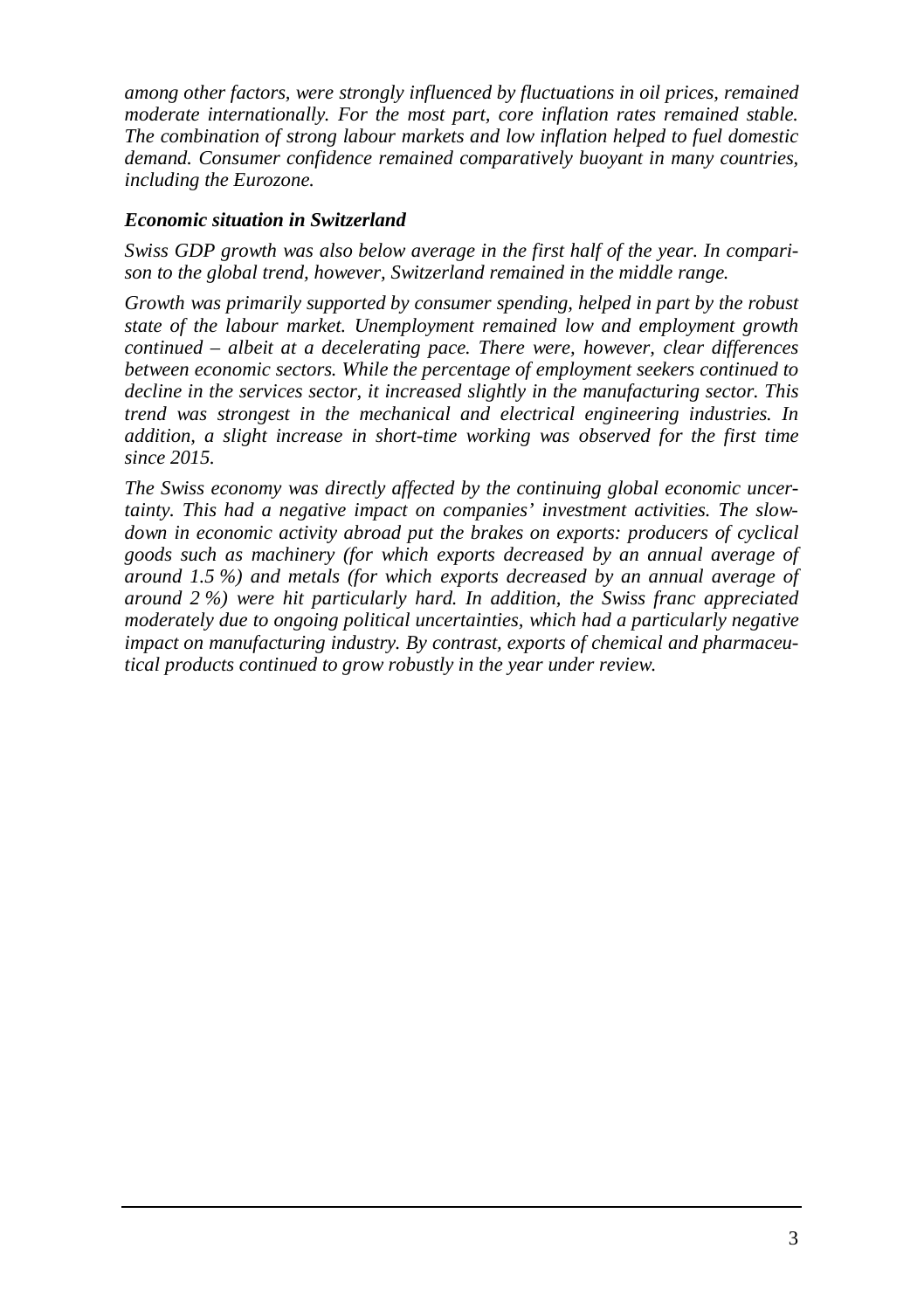*among other factors, were strongly influenced by fluctuations in oil prices, remained moderate internationally. For the most part, core inflation rates remained stable. The combination of strong labour markets and low inflation helped to fuel domestic demand. Consumer confidence remained comparatively buoyant in many countries, including the Eurozone.*

## *Economic situation in Switzerland*

*Swiss GDP growth was also below average in the first half of the year. In comparison to the global trend, however, Switzerland remained in the middle range.*

*Growth was primarily supported by consumer spending, helped in part by the robust state of the labour market. Unemployment remained low and employment growth continued – albeit at a decelerating pace. There were, however, clear differences between economic sectors. While the percentage of employment seekers continued to decline in the services sector, it increased slightly in the manufacturing sector. This trend was strongest in the mechanical and electrical engineering industries. In addition, a slight increase in short-time working was observed for the first time since 2015.*

*The Swiss economy was directly affected by the continuing global economic uncertainty. This had a negative impact on companies' investment activities. The slowdown in economic activity abroad put the brakes on exports: producers of cyclical goods such as machinery (for which exports decreased by an annual average of around 1.5 %) and metals (for which exports decreased by an annual average of around 2 %) were hit particularly hard. In addition, the Swiss franc appreciated moderately due to ongoing political uncertainties, which had a particularly negative impact on manufacturing industry. By contrast, exports of chemical and pharmaceutical products continued to grow robustly in the year under review.*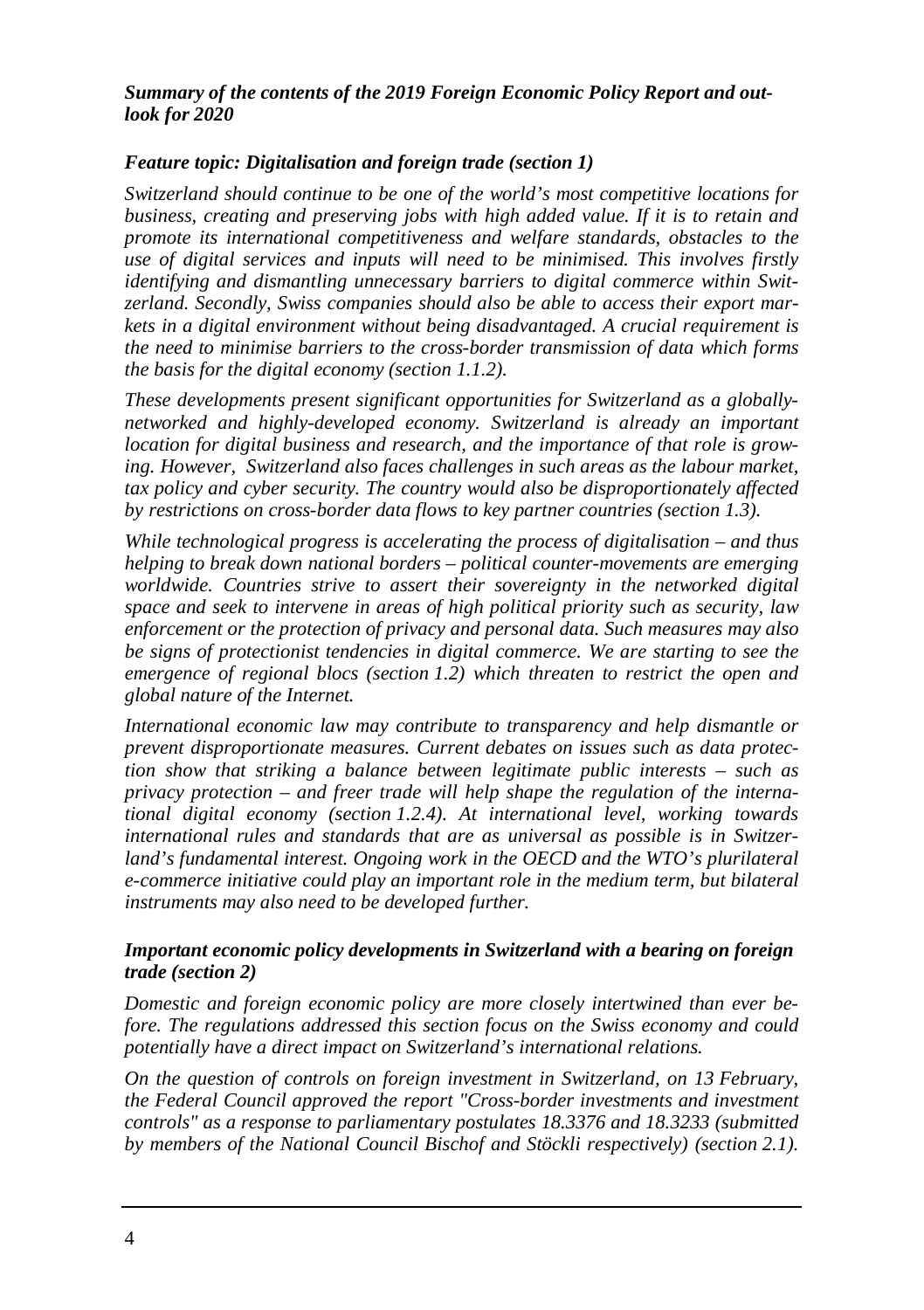#### *Summary of the contents of the 2019 Foreign Economic Policy Report and outlook for 2020*

## *Feature topic: Digitalisation and foreign trade (section 1)*

*Switzerland should continue to be one of the world's most competitive locations for business, creating and preserving jobs with high added value. If it is to retain and promote its international competitiveness and welfare standards, obstacles to the use of digital services and inputs will need to be minimised. This involves firstly identifying and dismantling unnecessary barriers to digital commerce within Switzerland. Secondly, Swiss companies should also be able to access their export markets in a digital environment without being disadvantaged. A crucial requirement is the need to minimise barriers to the cross-border transmission of data which forms the basis for the digital economy (section 1.1.2).*

*These developments present significant opportunities for Switzerland as a globallynetworked and highly-developed economy. Switzerland is already an important location for digital business and research, and the importance of that role is growing. However, Switzerland also faces challenges in such areas as the labour market, tax policy and cyber security. The country would also be disproportionately affected by restrictions on cross-border data flows to key partner countries (section 1.3).*

*While technological progress is accelerating the process of digitalisation – and thus helping to break down national borders – political counter-movements are emerging worldwide. Countries strive to assert their sovereignty in the networked digital space and seek to intervene in areas of high political priority such as security, law enforcement or the protection of privacy and personal data. Such measures may also be signs of protectionist tendencies in digital commerce. We are starting to see the emergence of regional blocs (section 1.2) which threaten to restrict the open and global nature of the Internet.*

*International economic law may contribute to transparency and help dismantle or prevent disproportionate measures. Current debates on issues such as data protection show that striking a balance between legitimate public interests – such as privacy protection – and freer trade will help shape the regulation of the international digital economy (section 1.2.4). At international level, working towards international rules and standards that are as universal as possible is in Switzerland's fundamental interest. Ongoing work in the OECD and the WTO's plurilateral e-commerce initiative could play an important role in the medium term, but bilateral instruments may also need to be developed further.*

#### *Important economic policy developments in Switzerland with a bearing on foreign trade (section 2)*

*Domestic and foreign economic policy are more closely intertwined than ever before. The regulations addressed this section focus on the Swiss economy and could potentially have a direct impact on Switzerland's international relations.*

*On the question of controls on foreign investment in Switzerland, on 13 February, the Federal Council approved the report "Cross-border investments and investment controls" as a response to parliamentary postulates 18.3376 and 18.3233 (submitted by members of the National Council Bischof and Stöckli respectively) (section 2.1).*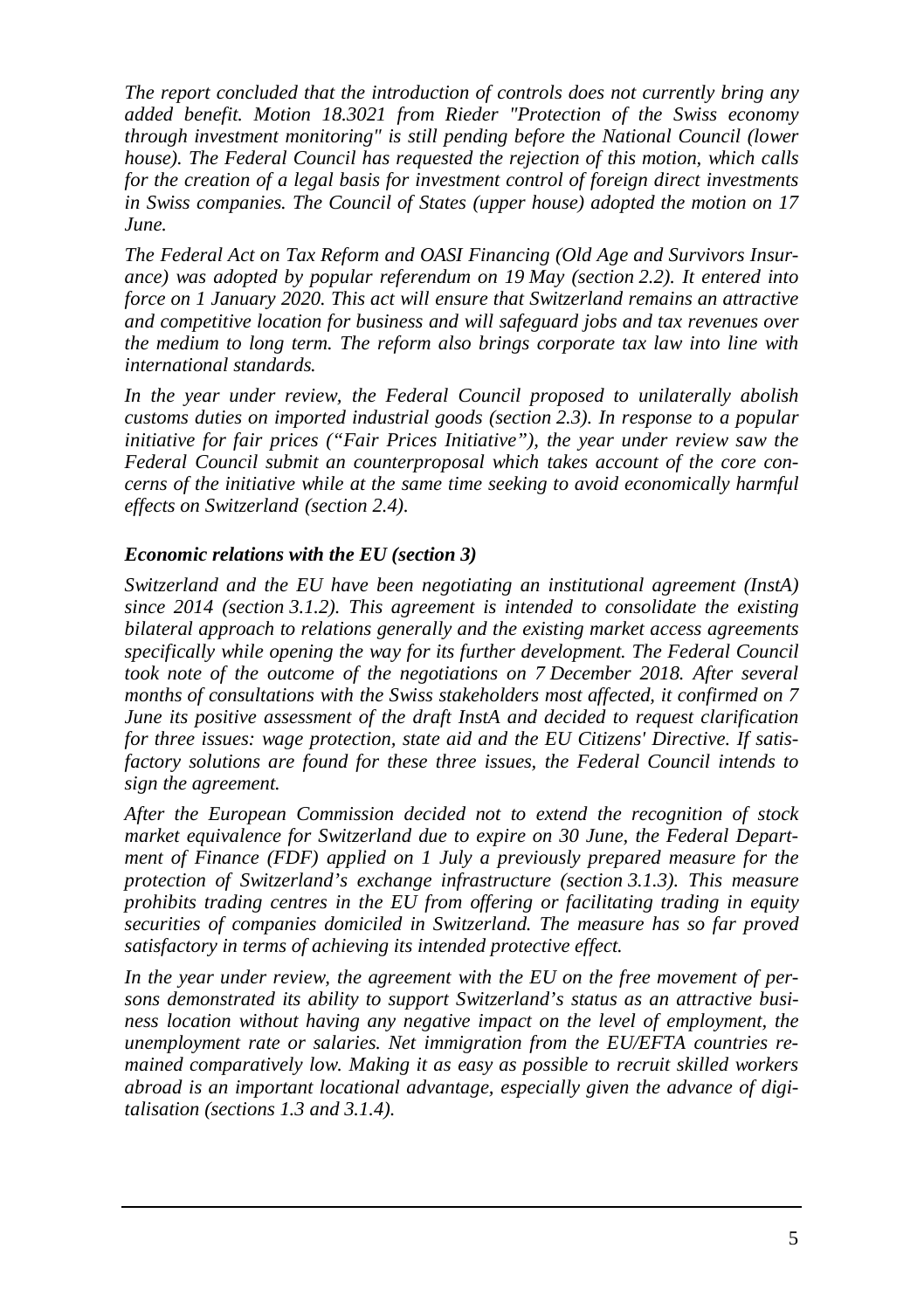*The report concluded that the introduction of controls does not currently bring any added benefit. Motion 18.3021 from Rieder "Protection of the Swiss economy through investment monitoring" is still pending before the National Council (lower house). The Federal Council has requested the rejection of this motion, which calls for the creation of a legal basis for investment control of foreign direct investments in Swiss companies. The Council of States (upper house) adopted the motion on 17 June.*

*The Federal Act on Tax Reform and OASI Financing (Old Age and Survivors Insurance) was adopted by popular referendum on 19 May (section 2.2). It entered into force on 1 January 2020. This act will ensure that Switzerland remains an attractive and competitive location for business and will safeguard jobs and tax revenues over the medium to long term. The reform also brings corporate tax law into line with international standards.*

*In the year under review, the Federal Council proposed to unilaterally abolish customs duties on imported industrial goods (section 2.3). In response to a popular initiative for fair prices ("Fair Prices Initiative"), the year under review saw the Federal Council submit an counterproposal which takes account of the core concerns of the initiative while at the same time seeking to avoid economically harmful effects on Switzerland (section 2.4).*

### *Economic relations with the EU (section 3)*

*Switzerland and the EU have been negotiating an institutional agreement (InstA) since 2014 (section 3.1.2). This agreement is intended to consolidate the existing bilateral approach to relations generally and the existing market access agreements specifically while opening the way for its further development. The Federal Council took note of the outcome of the negotiations on 7 December 2018. After several months of consultations with the Swiss stakeholders most affected, it confirmed on 7 June its positive assessment of the draft InstA and decided to request clarification for three issues: wage protection, state aid and the EU Citizens' Directive. If satisfactory solutions are found for these three issues, the Federal Council intends to sign the agreement.*

*After the European Commission decided not to extend the recognition of stock market equivalence for Switzerland due to expire on 30 June, the Federal Department of Finance (FDF) applied on 1 July a previously prepared measure for the protection of Switzerland's exchange infrastructure (section 3.1.3). This measure prohibits trading centres in the EU from offering or facilitating trading in equity securities of companies domiciled in Switzerland. The measure has so far proved satisfactory in terms of achieving its intended protective effect.*

*In the year under review, the agreement with the EU on the free movement of persons demonstrated its ability to support Switzerland's status as an attractive business location without having any negative impact on the level of employment, the unemployment rate or salaries. Net immigration from the EU/EFTA countries remained comparatively low. Making it as easy as possible to recruit skilled workers abroad is an important locational advantage, especially given the advance of digitalisation (sections 1.3 and 3.1.4).*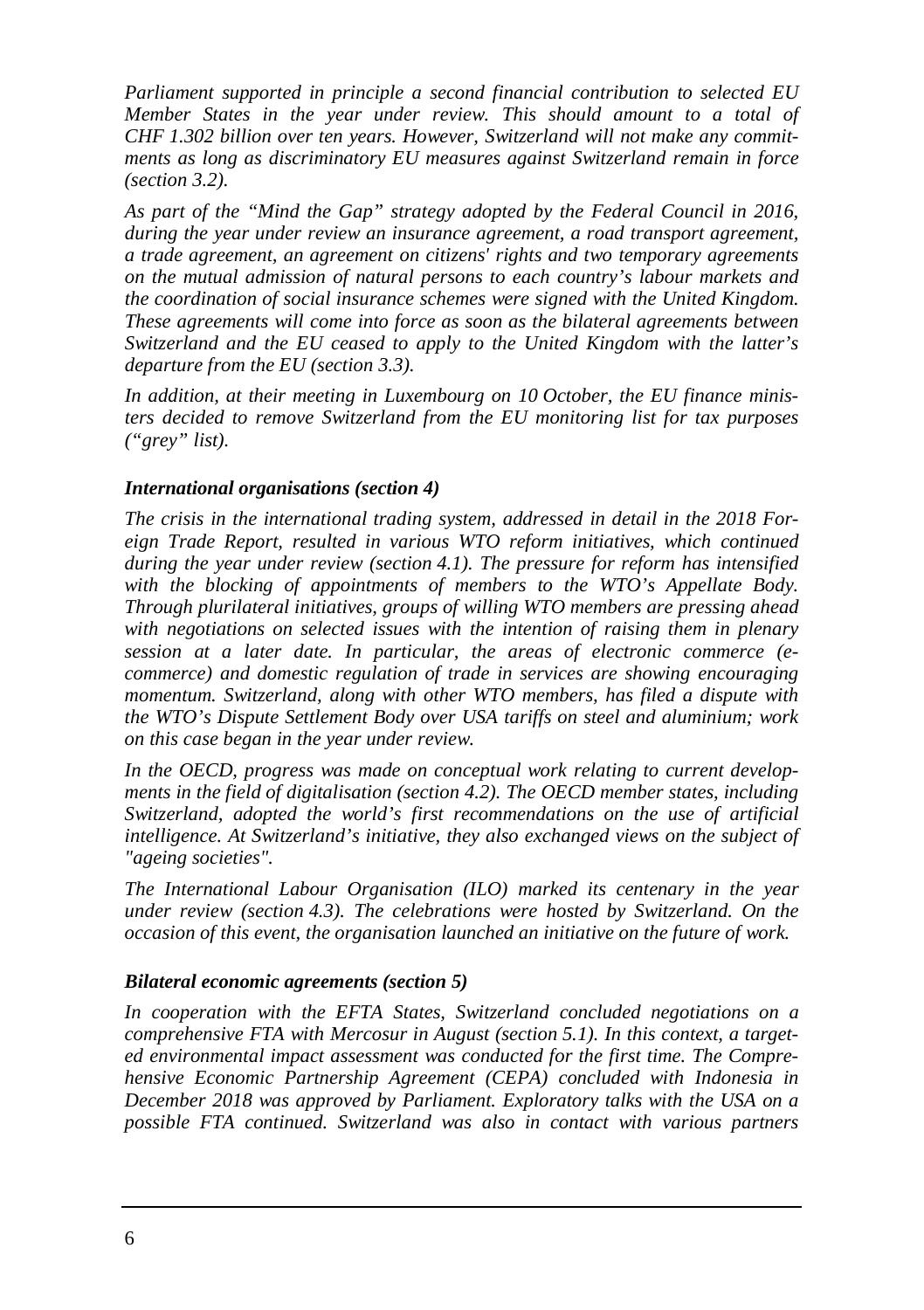*Parliament supported in principle a second financial contribution to selected EU Member States in the year under review. This should amount to a total of CHF 1.302 billion over ten years. However, Switzerland will not make any commitments as long as discriminatory EU measures against Switzerland remain in force (section 3.2).*

*As part of the "Mind the Gap" strategy adopted by the Federal Council in 2016, during the year under review an insurance agreement, a road transport agreement, a trade agreement, an agreement on citizens' rights and two temporary agreements on the mutual admission of natural persons to each country's labour markets and the coordination of social insurance schemes were signed with the United Kingdom. These agreements will come into force as soon as the bilateral agreements between Switzerland and the EU ceased to apply to the United Kingdom with the latter's departure from the EU (section 3.3).* 

*In addition, at their meeting in Luxembourg on 10 October, the EU finance ministers decided to remove Switzerland from the EU monitoring list for tax purposes ("grey" list).*

#### *International organisations (section 4)*

*The crisis in the international trading system, addressed in detail in the 2018 Foreign Trade Report, resulted in various WTO reform initiatives, which continued during the year under review (section 4.1). The pressure for reform has intensified with the blocking of appointments of members to the WTO's Appellate Body. Through plurilateral initiatives, groups of willing WTO members are pressing ahead with negotiations on selected issues with the intention of raising them in plenary session at a later date. In particular, the areas of electronic commerce (ecommerce) and domestic regulation of trade in services are showing encouraging momentum. Switzerland, along with other WTO members, has filed a dispute with the WTO's Dispute Settlement Body over USA tariffs on steel and aluminium; work on this case began in the year under review.*

*In the OECD, progress was made on conceptual work relating to current developments in the field of digitalisation (section 4.2). The OECD member states, including Switzerland, adopted the world's first recommendations on the use of artificial intelligence. At Switzerland's initiative, they also exchanged views on the subject of "ageing societies".* 

*The International Labour Organisation (ILO) marked its centenary in the year under review (section 4.3). The celebrations were hosted by Switzerland. On the occasion of this event, the organisation launched an initiative on the future of work.*

#### *Bilateral economic agreements (section 5)*

*In cooperation with the EFTA States, Switzerland concluded negotiations on a comprehensive FTA with Mercosur in August (section 5.1). In this context, a targeted environmental impact assessment was conducted for the first time. The Comprehensive Economic Partnership Agreement (CEPA) concluded with Indonesia in December 2018 was approved by Parliament. Exploratory talks with the USA on a possible FTA continued. Switzerland was also in contact with various partners*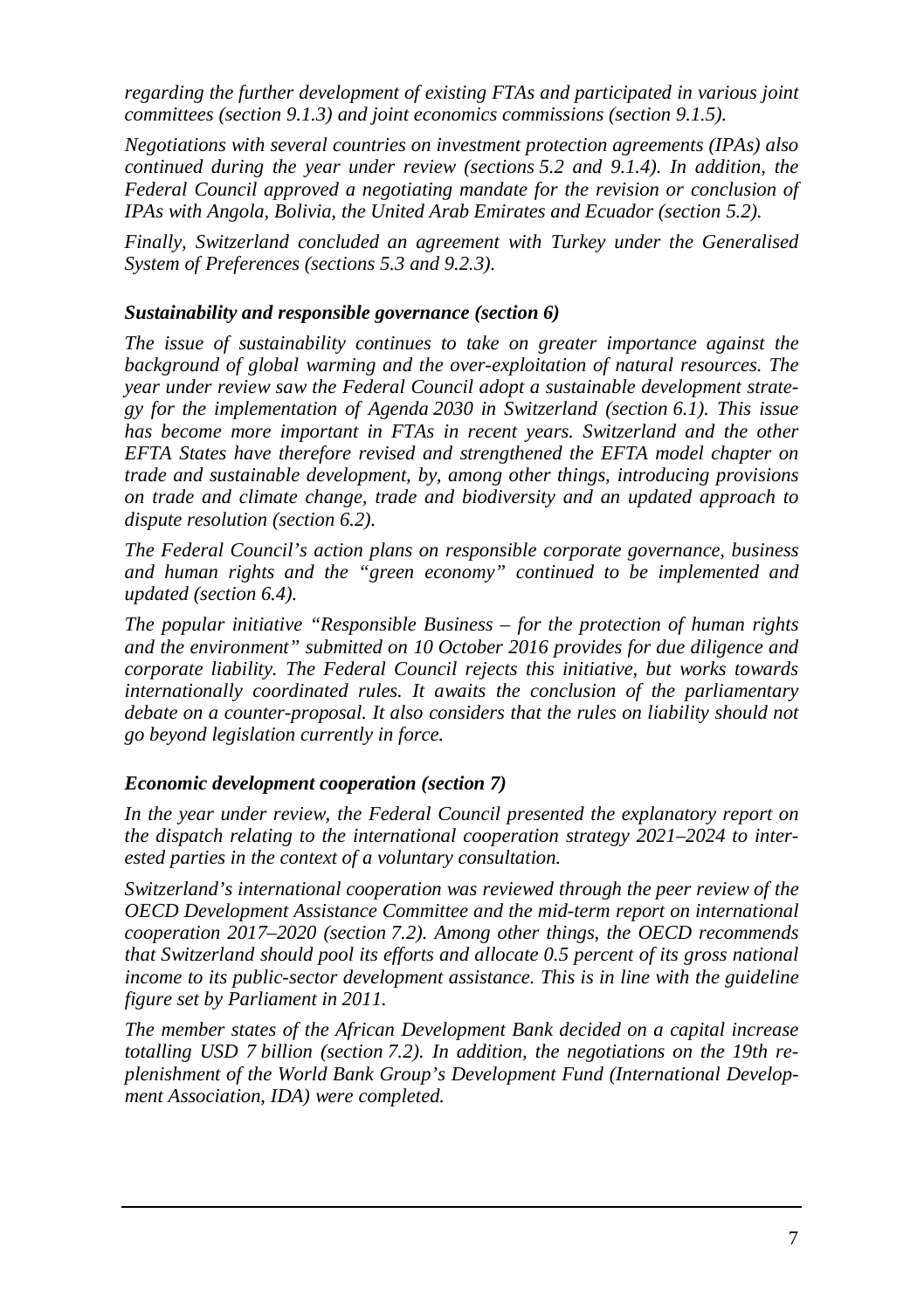*regarding the further development of existing FTAs and participated in various joint committees (section 9.1.3) and joint economics commissions (section 9.1.5).*

*Negotiations with several countries on investment protection agreements (IPAs) also continued during the year under review (sections 5.2 and 9.1.4). In addition, the Federal Council approved a negotiating mandate for the revision or conclusion of IPAs with Angola, Bolivia, the United Arab Emirates and Ecuador (section 5.2).*

*Finally, Switzerland concluded an agreement with Turkey under the Generalised System of Preferences (sections 5.3 and 9.2.3).*

# *Sustainability and responsible governance (section 6)*

*The issue of sustainability continues to take on greater importance against the background of global warming and the over-exploitation of natural resources. The year under review saw the Federal Council adopt a sustainable development strategy for the implementation of Agenda 2030 in Switzerland (section 6.1). This issue has become more important in FTAs in recent years. Switzerland and the other EFTA States have therefore revised and strengthened the EFTA model chapter on trade and sustainable development, by, among other things, introducing provisions on trade and climate change, trade and biodiversity and an updated approach to dispute resolution (section 6.2).*

*The Federal Council's action plans on responsible corporate governance, business and human rights and the "green economy" continued to be implemented and updated (section 6.4).* 

*The popular initiative "Responsible Business – for the protection of human rights and the environment" submitted on 10 October 2016 provides for due diligence and corporate liability. The Federal Council rejects this initiative, but works towards internationally coordinated rules. It awaits the conclusion of the parliamentary debate on a counter-proposal. It also considers that the rules on liability should not go beyond legislation currently in force.*

# *Economic development cooperation (section 7)*

*In the year under review, the Federal Council presented the explanatory report on the dispatch relating to the international cooperation strategy 2021–2024 to interested parties in the context of a voluntary consultation.* 

*Switzerland's international cooperation was reviewed through the peer review of the OECD Development Assistance Committee and the mid-term report on international cooperation 2017–2020 (section 7.2). Among other things, the OECD recommends that Switzerland should pool its efforts and allocate 0.5 percent of its gross national income to its public-sector development assistance. This is in line with the guideline figure set by Parliament in 2011.*

*The member states of the African Development Bank decided on a capital increase totalling USD 7 billion (section 7.2). In addition, the negotiations on the 19th replenishment of the World Bank Group's Development Fund (International Development Association, IDA) were completed.*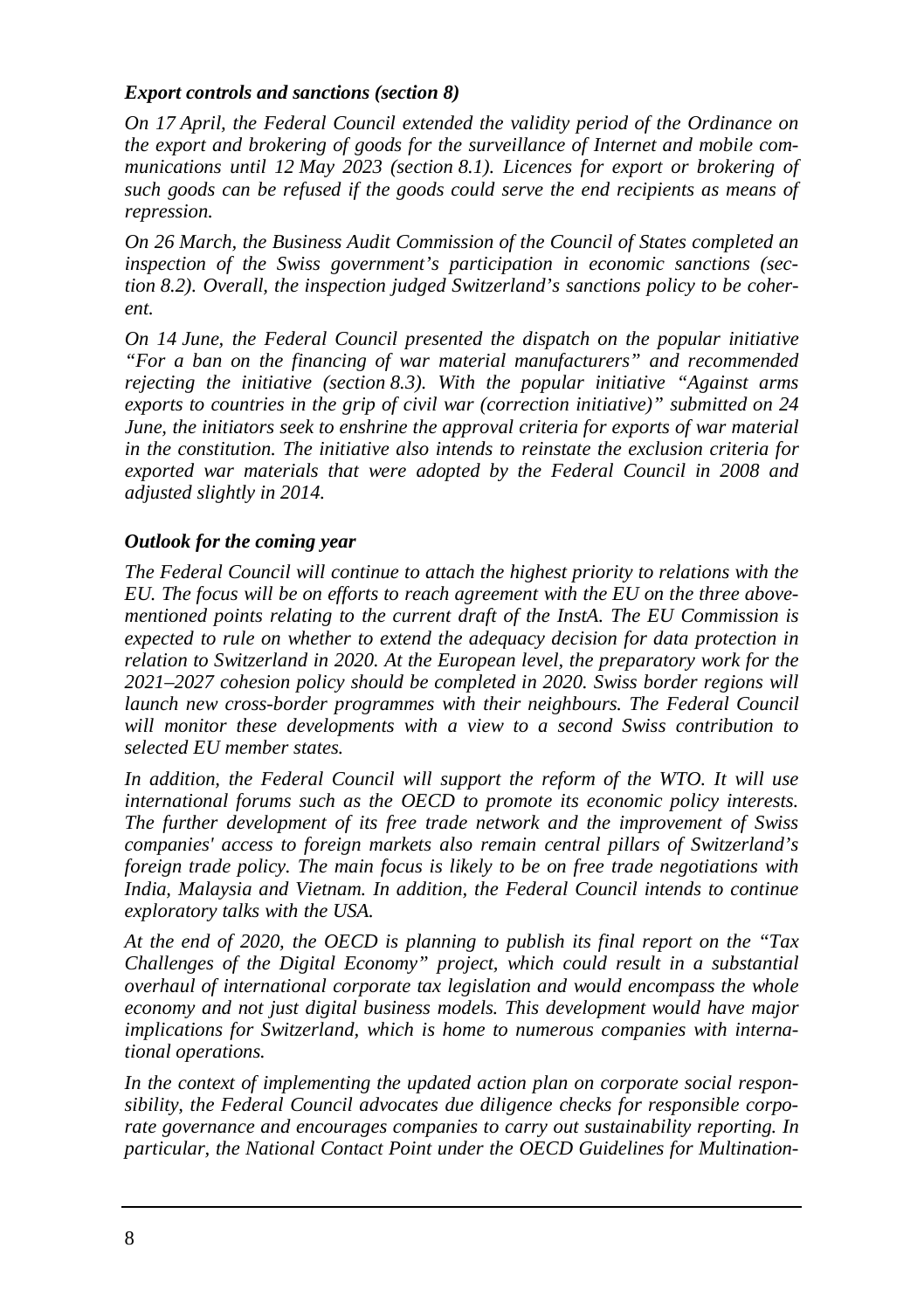## *Export controls and sanctions (section 8)*

*On 17 April, the Federal Council extended the validity period of the Ordinance on the export and brokering of goods for the surveillance of Internet and mobile communications until 12 May 2023 (section 8.1). Licences for export or brokering of such goods can be refused if the goods could serve the end recipients as means of repression.*

*On 26 March, the Business Audit Commission of the Council of States completed an inspection of the Swiss government's participation in economic sanctions (section 8.2). Overall, the inspection judged Switzerland's sanctions policy to be coherent.*

*On 14 June, the Federal Council presented the dispatch on the popular initiative "For a ban on the financing of war material manufacturers" and recommended rejecting the initiative (section 8.3). With the popular initiative "Against arms exports to countries in the grip of civil war (correction initiative)" submitted on 24 June, the initiators seek to enshrine the approval criteria for exports of war material in the constitution. The initiative also intends to reinstate the exclusion criteria for exported war materials that were adopted by the Federal Council in 2008 and adjusted slightly in 2014.* 

### *Outlook for the coming year*

*The Federal Council will continue to attach the highest priority to relations with the EU. The focus will be on efforts to reach agreement with the EU on the three abovementioned points relating to the current draft of the InstA. The EU Commission is expected to rule on whether to extend the adequacy decision for data protection in relation to Switzerland in 2020. At the European level, the preparatory work for the 2021–2027 cohesion policy should be completed in 2020. Swiss border regions will launch new cross-border programmes with their neighbours. The Federal Council will monitor these developments with a view to a second Swiss contribution to selected EU member states.*

*In addition, the Federal Council will support the reform of the WTO. It will use international forums such as the OECD to promote its economic policy interests. The further development of its free trade network and the improvement of Swiss companies' access to foreign markets also remain central pillars of Switzerland's foreign trade policy. The main focus is likely to be on free trade negotiations with India, Malaysia and Vietnam. In addition, the Federal Council intends to continue exploratory talks with the USA.*

*At the end of 2020, the OECD is planning to publish its final report on the "Tax Challenges of the Digital Economy" project, which could result in a substantial overhaul of international corporate tax legislation and would encompass the whole economy and not just digital business models. This development would have major implications for Switzerland, which is home to numerous companies with international operations.*

*In the context of implementing the updated action plan on corporate social responsibility, the Federal Council advocates due diligence checks for responsible corporate governance and encourages companies to carry out sustainability reporting. In particular, the National Contact Point under the OECD Guidelines for Multination-*